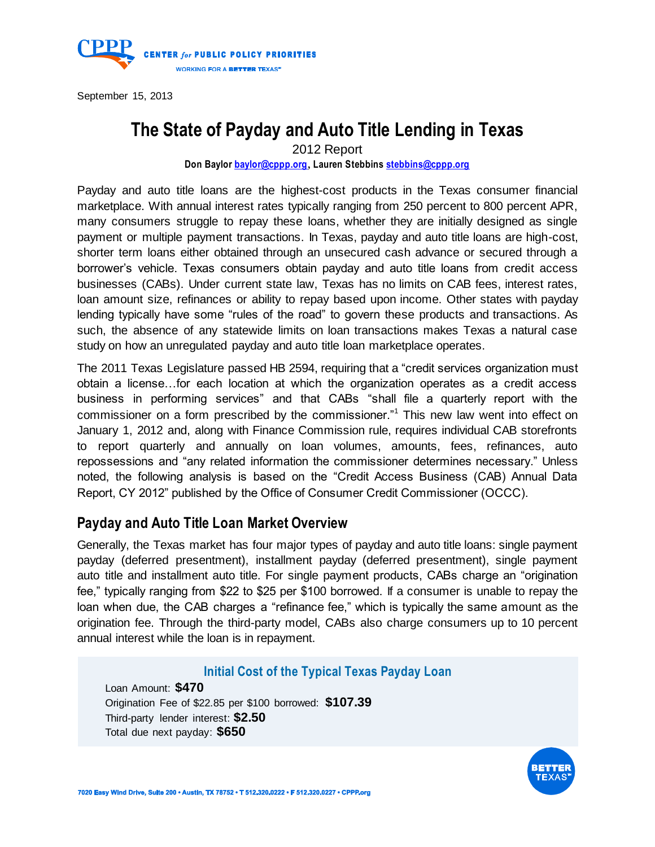

September 15, 2013

# **The State of Payday and Auto Title Lending in Texas**

2012 Report

**Don Baylor [baylor@cppp.org](mailto:baylor@cppp.org)**, **Lauren Stebbin[s stebbins@cppp.org](mailto:stebbins@cppp.org)**

Payday and auto title loans are the highest-cost products in the Texas consumer financial marketplace. With annual interest rates typically ranging from 250 percent to 800 percent APR, many consumers struggle to repay these loans, whether they are initially designed as single payment or multiple payment transactions. In Texas, payday and auto title loans are high-cost, shorter term loans either obtained through an unsecured cash advance or secured through a borrower's vehicle. Texas consumers obtain payday and auto title loans from credit access businesses (CABs). Under current state law, Texas has no limits on CAB fees, interest rates, loan amount size, refinances or ability to repay based upon income. Other states with payday lending typically have some "rules of the road" to govern these products and transactions. As such, the absence of any statewide limits on loan transactions makes Texas a natural case study on how an unregulated payday and auto title loan marketplace operates.

The 2011 Texas Legislature passed HB 2594, requiring that a "credit services organization must obtain a license…for each location at which the organization operates as a credit access business in performing services" and that CABs "shall file a quarterly report with the commissioner on a form prescribed by the commissioner."<sup>1</sup> This new law went into effect on January 1, 2012 and, along with Finance Commission rule, requires individual CAB storefronts to report quarterly and annually on loan volumes, amounts, fees, refinances, auto repossessions and "any related information the commissioner determines necessary." Unless noted, the following analysis is based on the "Credit Access Business (CAB) Annual Data Report, CY 2012" published by the Office of Consumer Credit Commissioner (OCCC).

### **Payday and Auto Title Loan Market Overview**

Generally, the Texas market has four major types of payday and auto title loans: single payment payday (deferred presentment), installment payday (deferred presentment), single payment auto title and installment auto title. For single payment products, CABs charge an "origination fee," typically ranging from \$22 to \$25 per \$100 borrowed. If a consumer is unable to repay the loan when due, the CAB charges a "refinance fee," which is typically the same amount as the origination fee. Through the third-party model, CABs also charge consumers up to 10 percent annual interest while the loan is in repayment.

#### **Initial Cost of the Typical Texas Payday Loan**

Loan Amount: **\$470** Origination Fee of \$22.85 per \$100 borrowed: **\$107.39** Third-party lender interest: **\$2.50** Total due next payday: **\$650**

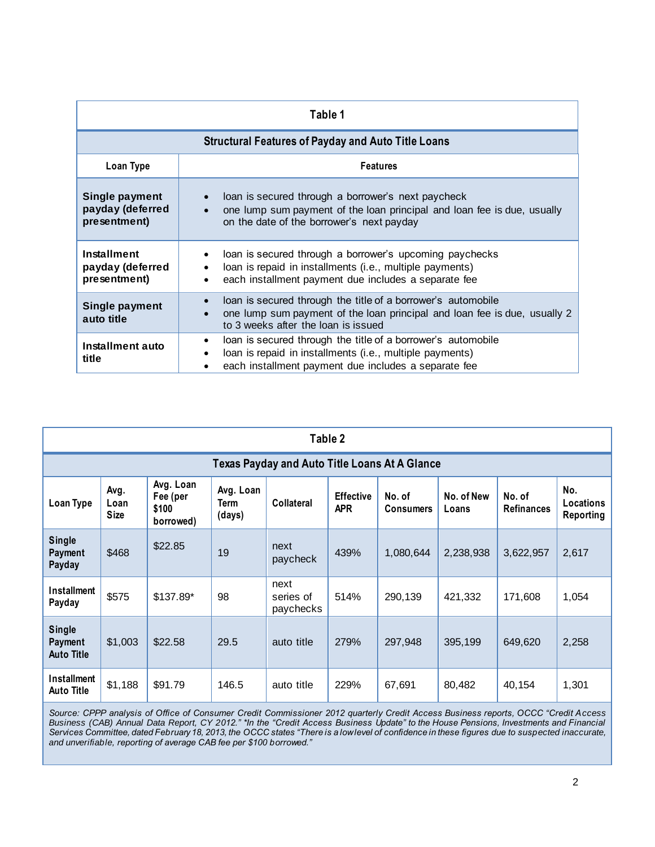| Table 1                                            |                                                                                                                                                                                                            |  |  |  |  |  |  |  |
|----------------------------------------------------|------------------------------------------------------------------------------------------------------------------------------------------------------------------------------------------------------------|--|--|--|--|--|--|--|
|                                                    | <b>Structural Features of Payday and Auto Title Loans</b>                                                                                                                                                  |  |  |  |  |  |  |  |
| Loan Type                                          | <b>Features</b>                                                                                                                                                                                            |  |  |  |  |  |  |  |
| Single payment<br>payday (deferred<br>presentment) | loan is secured through a borrower's next paycheck<br>$\bullet$<br>one lump sum payment of the loan principal and loan fee is due, usually<br>$\bullet$<br>on the date of the borrower's next payday       |  |  |  |  |  |  |  |
| Installment<br>payday (deferred<br>presentment)    | loan is secured through a borrower's upcoming paychecks<br>$\bullet$<br>loan is repaid in installments (i.e., multiple payments)<br>$\bullet$<br>each installment payment due includes a separate fee<br>٠ |  |  |  |  |  |  |  |
| Single payment<br>auto title                       | loan is secured through the title of a borrower's automobile<br>$\bullet$<br>one lump sum payment of the loan principal and loan fee is due, usually 2<br>$\bullet$<br>to 3 weeks after the loan is issued |  |  |  |  |  |  |  |
| Installment auto<br>title                          | loan is secured through the title of a borrower's automobile<br>$\bullet$<br>loan is repaid in installments (i.e., multiple payments)<br>$\bullet$<br>each installment payment due includes a separate fee |  |  |  |  |  |  |  |

|                                                      | Table 2                     |                                             |                             |                                |                                |                            |                     |                             |                               |  |
|------------------------------------------------------|-----------------------------|---------------------------------------------|-----------------------------|--------------------------------|--------------------------------|----------------------------|---------------------|-----------------------------|-------------------------------|--|
| <b>Texas Payday and Auto Title Loans At A Glance</b> |                             |                                             |                             |                                |                                |                            |                     |                             |                               |  |
| Loan Type                                            | Avg.<br>Loan<br><b>Size</b> | Avg. Loan<br>Fee (per<br>\$100<br>borrowed) | Avg. Loan<br>Term<br>(days) | Collateral                     | <b>Effective</b><br><b>APR</b> | No. of<br><b>Consumers</b> | No. of New<br>Loans | No. of<br><b>Refinances</b> | No.<br>Locations<br>Reporting |  |
| <b>Single</b><br>Payment<br>Payday                   | \$468                       | \$22.85                                     | 19                          | next<br>paycheck               | 439%                           | 1,080,644                  | 2,238,938           | 3,622,957                   | 2,617                         |  |
| Installment<br>Payday                                | \$575                       | \$137.89*                                   | 98                          | next<br>series of<br>paychecks | 514%                           | 290,139                    | 421,332             | 171,608                     | 1,054                         |  |
| <b>Single</b><br>Payment<br><b>Auto Title</b>        | \$1,003                     | \$22.58                                     | 29.5                        | auto title                     | 279%                           | 297,948                    | 395,199             | 649,620                     | 2,258                         |  |
| <b>Installment</b><br><b>Auto Title</b>              | \$1,188                     | \$91.79                                     | 146.5                       | auto title                     | 229%                           | 67,691                     | 80,482              | 40,154                      | 1,301                         |  |

*Source: CPPP analysis of Office of Consumer Credit Commissioner 2012 quarterly Credit Access Business reports, OCCC "Credit Access Business (CAB) Annual Data Report, CY 2012." \*In the "Credit Access Business Update" to the House Pensions, Investments and Financial Services Committee, dated February 18, 2013, the OCCC states "There is a low level of confidence in these figures due to suspected inaccurate, and unverifiable, reporting of average CAB fee per \$100 borrowed."*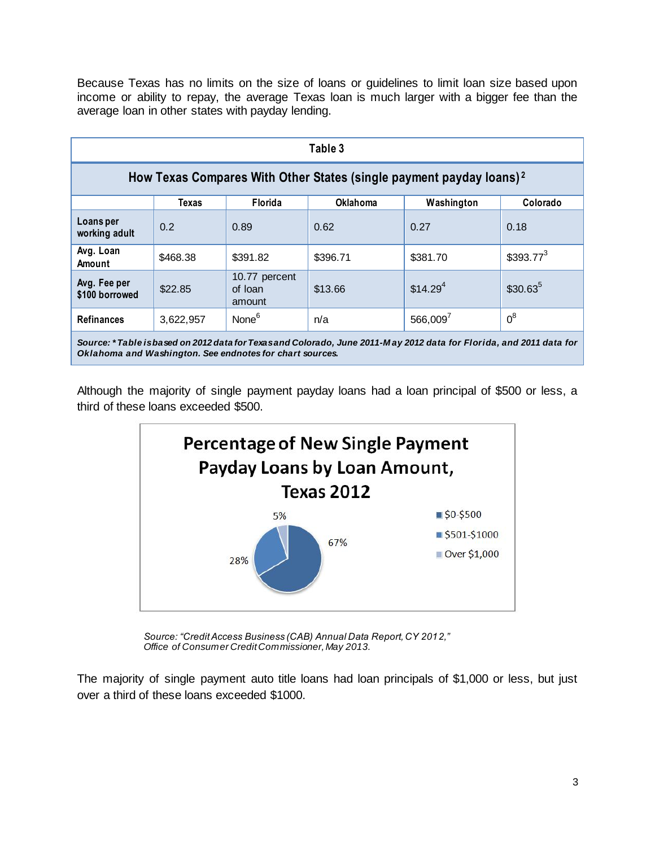Because Texas has no limits on the size of loans or guidelines to limit loan size based upon income or ability to repay, the average Texas loan is much larger with a bigger fee than the average loan in other states with payday lending.

| Table 3                                                                         |              |                                    |                 |                      |              |  |  |  |
|---------------------------------------------------------------------------------|--------------|------------------------------------|-----------------|----------------------|--------------|--|--|--|
| How Texas Compares With Other States (single payment payday loans) <sup>2</sup> |              |                                    |                 |                      |              |  |  |  |
|                                                                                 | <b>Texas</b> | Florida                            | <b>Oklahoma</b> | Washington           | Colorado     |  |  |  |
| Loans per<br>working adult                                                      | 0.2          | 0.89                               | 0.62            | 0.27                 | 0.18         |  |  |  |
| Avg. Loan<br>Amount                                                             | \$468.38     | \$391.82                           | \$396.71        | \$381.70             | $$393.77^3$  |  |  |  |
| Avg. Fee per<br>\$100 borrowed                                                  | \$22.85      | 10.77 percent<br>of loan<br>amount | \$13.66         | \$14.29 <sup>4</sup> | $$30.63^{5}$ |  |  |  |
| <b>Refinances</b>                                                               | 3,622,957    | None <sup>6</sup>                  | n/a             | $566,009^7$          | $0^8$        |  |  |  |
|                                                                                 |              |                                    |                 |                      |              |  |  |  |

*Source: \* Table is based on 2012 data for Texas and Colorado, June 2011-M ay 2012 data for Florida, and 2011 data for Oklahoma and Washington. See endnotes for chart sources.*

Although the majority of single payment payday loans had a loan principal of \$500 or less, a third of these loans exceeded \$500.



*Source: "Credit Access Business (CAB) Annual Data Report, CY 2012," Office of Consumer Credit Commissioner, May 2013.*

The majority of single payment auto title loans had loan principals of \$1,000 or less, but just over a third of these loans exceeded \$1000.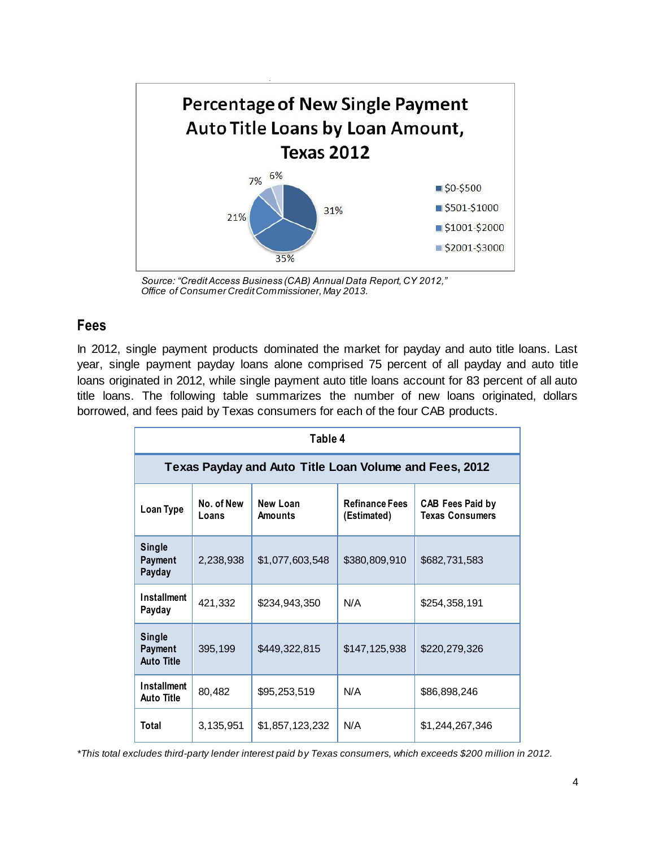

*Source: "Credit Access Business (CAB) Annual Data Report, CY 2012," Office of Consumer Credit Commissioner, May 2013.*

## **Fees**

In 2012, single payment products dominated the market for payday and auto title loans. Last year, single payment payday loans alone comprised 75 percent of all payday and auto title loans originated in 2012, while single payment auto title loans account for 83 percent of all auto title loans. The following table summarizes the number of new loans originated, dollars borrowed, and fees paid by Texas consumers for each of the four CAB products.

| Table 4                                                |                     |                     |                                      |                                                   |  |  |  |  |  |
|--------------------------------------------------------|---------------------|---------------------|--------------------------------------|---------------------------------------------------|--|--|--|--|--|
| Texas Payday and Auto Title Loan Volume and Fees, 2012 |                     |                     |                                      |                                                   |  |  |  |  |  |
| <b>Loan Type</b>                                       | No. of New<br>Loans | New Loan<br>Amounts | <b>Refinance Fees</b><br>(Estimated) | <b>CAB Fees Paid by</b><br><b>Texas Consumers</b> |  |  |  |  |  |
| <b>Single</b><br>Payment<br>Payday                     | 2,238,938           | \$1,077,603,548     | \$380,809,910                        | \$682,731,583                                     |  |  |  |  |  |
| <b>Installment</b><br>Payday                           | 421,332             | \$234,943,350       | N/A                                  | \$254,358,191                                     |  |  |  |  |  |
| <b>Single</b><br>Payment<br><b>Auto Title</b>          | 395,199             | \$449,322,815       | \$147,125,938                        | \$220,279,326                                     |  |  |  |  |  |
| <b>Installment</b><br><b>Auto Title</b>                | 80,482              | \$95,253,519        | N/A                                  | \$86,898,246                                      |  |  |  |  |  |
| Total                                                  | 3,135,951           | \$1,857,123,232     | N/A                                  | \$1,244,267,346                                   |  |  |  |  |  |

*\*This total excludes third-party lender interest paid by Texas consumers, which exceeds \$200 million in 2012.*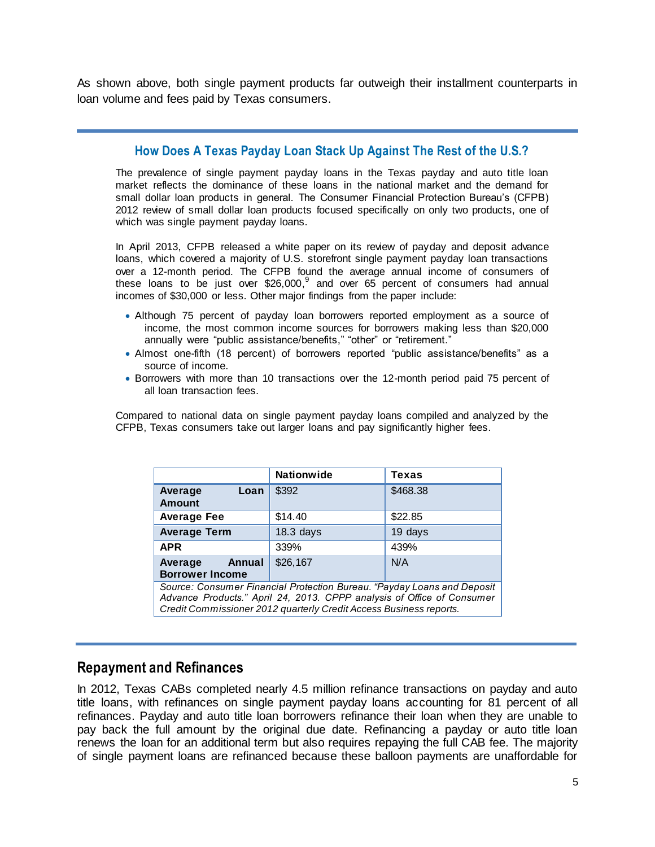As shown above, both single payment products far outweigh their installment counterparts in loan volume and fees paid by Texas consumers.

#### **How Does A Texas Payday Loan Stack Up Against The Rest of the U.S.?**

The prevalence of single payment payday loans in the Texas payday and auto title loan market reflects the dominance of these loans in the national market and the demand for small dollar loan products in general. The Consumer Financial Protection Bureau's (CFPB) 2012 review of small dollar loan products focused specifically on only two products, one of which was single payment payday loans.

In April 2013, CFPB released a white paper on its review of payday and deposit advance loans, which covered a majority of U.S. storefront single payment payday loan transactions over a 12-month period. The CFPB found the average annual income of consumers of these loans to be just over \$26,000, $9$  and over 65 percent of consumers had annual incomes of \$30,000 or less. Other major findings from the paper include:

- Although 75 percent of payday loan borrowers reported employment as a source of income, the most common income sources for borrowers making less than \$20,000 annually were "public assistance/benefits," "other" or "retirement."
- Almost one-fifth (18 percent) of borrowers reported "public assistance/benefits" as a source of income.
- Borrowers with more than 10 transactions over the 12-month period paid 75 percent of all loan transaction fees.

Compared to national data on single payment payday loans compiled and analyzed by the CFPB, Texas consumers take out larger loans and pay significantly higher fees.

|                                                                                                                                                                                                                         | <b>Nationwide</b> | Texas    |  |  |  |
|-------------------------------------------------------------------------------------------------------------------------------------------------------------------------------------------------------------------------|-------------------|----------|--|--|--|
| Loan<br>Average<br><b>Amount</b>                                                                                                                                                                                        | \$392             | \$468.38 |  |  |  |
| <b>Average Fee</b>                                                                                                                                                                                                      | \$14.40           | \$22.85  |  |  |  |
| <b>Average Term</b>                                                                                                                                                                                                     | $18.3$ days       | 19 days  |  |  |  |
| <b>APR</b>                                                                                                                                                                                                              | 339%              | 439%     |  |  |  |
| Annual<br>Average<br><b>Borrower Income</b>                                                                                                                                                                             | \$26,167          | N/A      |  |  |  |
| Source: Consumer Financial Protection Bureau. "Payday Loans and Deposit<br>Advance Products." April 24, 2013. CPPP analysis of Office of Consumer<br>Credit Commissioner 2012 quarterly Credit Access Business reports. |                   |          |  |  |  |

### **Repayment and Refinances**

In 2012, Texas CABs completed nearly 4.5 million refinance transactions on payday and auto title loans, with refinances on single payment payday loans accounting for 81 percent of all refinances. Payday and auto title loan borrowers refinance their loan when they are unable to pay back the full amount by the original due date. Refinancing a payday or auto title loan renews the loan for an additional term but also requires repaying the full CAB fee. The majority of single payment loans are refinanced because these balloon payments are unaffordable for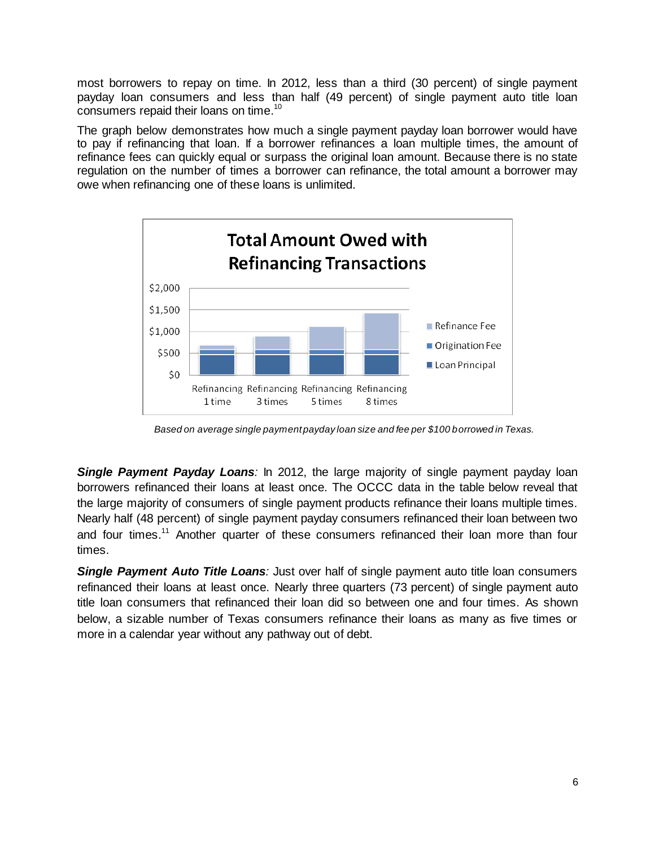most borrowers to repay on time. In 2012, less than a third (30 percent) of single payment payday loan consumers and less than half (49 percent) of single payment auto title loan consumers repaid their loans on time. $^{10}$ 

The graph below demonstrates how much a single payment payday loan borrower would have to pay if refinancing that loan. If a borrower refinances a loan multiple times, the amount of refinance fees can quickly equal or surpass the original loan amount. Because there is no state regulation on the number of times a borrower can refinance, the total amount a borrower may owe when refinancing one of these loans is unlimited.



*Based on average single payment payday loan size and fee per \$100 borrowed in Texas.*

*Single Payment Payday Loans:* In 2012, the large majority of single payment payday loan borrowers refinanced their loans at least once. The OCCC data in the table below reveal that the large majority of consumers of single payment products refinance their loans multiple times. Nearly half (48 percent) of single payment payday consumers refinanced their loan between two and four times.<sup>11</sup> Another quarter of these consumers refinanced their loan more than four times.

**Single Payment Auto Title Loans**: Just over half of single payment auto title loan consumers refinanced their loans at least once. Nearly three quarters (73 percent) of single payment auto title loan consumers that refinanced their loan did so between one and four times. As shown below, a sizable number of Texas consumers refinance their loans as many as five times or more in a calendar year without any pathway out of debt.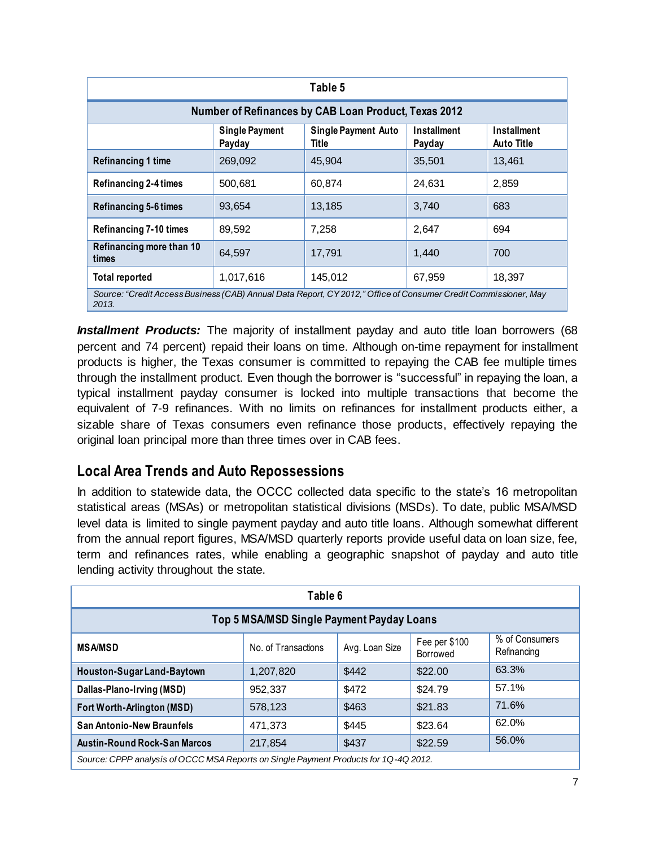| Table 5                                                                                                                  |                                                                                                                                     |         |        |        |  |  |  |  |  |
|--------------------------------------------------------------------------------------------------------------------------|-------------------------------------------------------------------------------------------------------------------------------------|---------|--------|--------|--|--|--|--|--|
| Number of Refinances by CAB Loan Product, Texas 2012                                                                     |                                                                                                                                     |         |        |        |  |  |  |  |  |
|                                                                                                                          | <b>Single Payment</b><br>Installment<br>Installment<br><b>Single Payment Auto</b><br>Title<br><b>Auto Title</b><br>Payday<br>Payday |         |        |        |  |  |  |  |  |
| <b>Refinancing 1 time</b>                                                                                                | 269,092                                                                                                                             | 45,904  | 35,501 | 13,461 |  |  |  |  |  |
| <b>Refinancing 2-4 times</b>                                                                                             | 500,681                                                                                                                             | 60,874  | 24,631 | 2,859  |  |  |  |  |  |
| <b>Refinancing 5-6 times</b>                                                                                             | 93.654                                                                                                                              | 13,185  | 3,740  | 683    |  |  |  |  |  |
| Refinancing 7-10 times                                                                                                   | 89,592                                                                                                                              | 7,258   | 2,647  | 694    |  |  |  |  |  |
| Refinancing more than 10<br>times                                                                                        | 64,597                                                                                                                              | 17.791  | 1,440  | 700    |  |  |  |  |  |
| <b>Total reported</b>                                                                                                    | 1,017,616                                                                                                                           | 145,012 | 67,959 | 18,397 |  |  |  |  |  |
| Source: "Credit Access Business (CAB) Annual Data Report, CY 2012," Office of Consumer Credit Commissioner, May<br>2013. |                                                                                                                                     |         |        |        |  |  |  |  |  |

**Installment Products:** The majority of installment payday and auto title loan borrowers (68 percent and 74 percent) repaid their loans on time. Although on-time repayment for installment products is higher, the Texas consumer is committed to repaying the CAB fee multiple times through the installment product. Even though the borrower is "successful" in repaying the loan, a typical installment payday consumer is locked into multiple transactions that become the equivalent of 7-9 refinances. With no limits on refinances for installment products either, a sizable share of Texas consumers even refinance those products, effectively repaying the original loan principal more than three times over in CAB fees.

# **Local Area Trends and Auto Repossessions**

In addition to statewide data, the OCCC collected data specific to the state's 16 metropolitan statistical areas (MSAs) or metropolitan statistical divisions (MSDs). To date, public MSA/MSD level data is limited to single payment payday and auto title loans. Although somewhat different from the annual report figures, MSA/MSD quarterly reports provide useful data on loan size, fee, term and refinances rates, while enabling a geographic snapshot of payday and auto title lending activity throughout the state.

| Table 6                                                                              |                     |                |                           |                               |  |  |  |
|--------------------------------------------------------------------------------------|---------------------|----------------|---------------------------|-------------------------------|--|--|--|
| Top 5 MSA/MSD Single Payment Payday Loans                                            |                     |                |                           |                               |  |  |  |
| <b>MSA/MSD</b>                                                                       | No. of Transactions | Avg. Loan Size | Fee per \$100<br>Borrowed | % of Consumers<br>Refinancing |  |  |  |
| Houston-Sugar Land-Baytown                                                           | 1,207,820           | \$442          | \$22.00                   | 63.3%                         |  |  |  |
| Dallas-Plano-Irving (MSD)                                                            | 952,337             | \$472          | \$24.79                   | 57.1%                         |  |  |  |
| Fort Worth-Arlington (MSD)                                                           | 578,123             | \$463          | \$21.83                   | 71.6%                         |  |  |  |
| <b>San Antonio-New Braunfels</b>                                                     | 471.373             | \$445          | \$23.64                   | 62.0%                         |  |  |  |
| <b>Austin-Round Rock-San Marcos</b>                                                  | 217,854             | \$437          | \$22.59                   | 56.0%                         |  |  |  |
| Source: CPPP analysis of OCCC MSA Reports on Single Payment Products for 1Q-4Q 2012. |                     |                |                           |                               |  |  |  |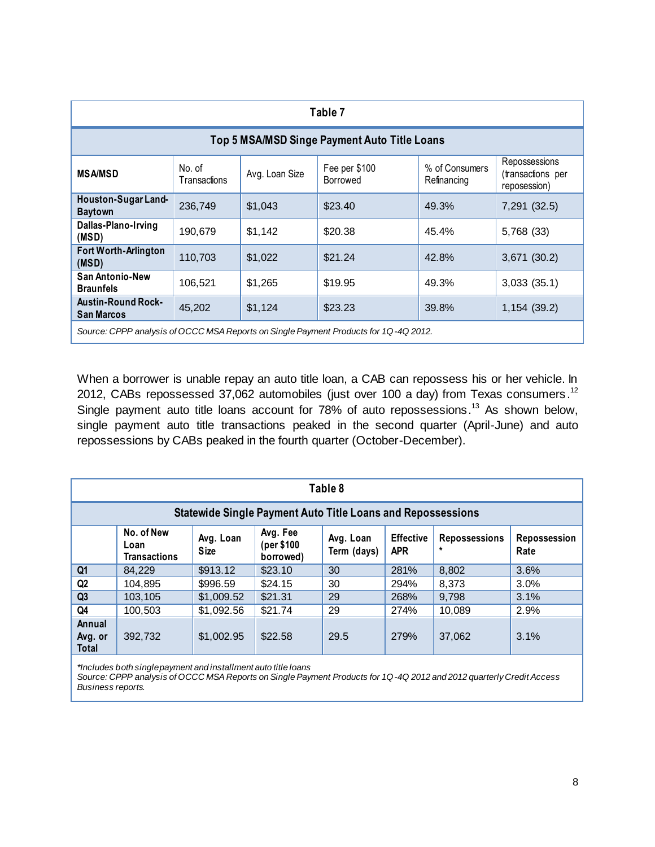| Table 7                                        |                        |                |                                                                                      |                               |                                                    |  |  |  |
|------------------------------------------------|------------------------|----------------|--------------------------------------------------------------------------------------|-------------------------------|----------------------------------------------------|--|--|--|
| Top 5 MSA/MSD Singe Payment Auto Title Loans   |                        |                |                                                                                      |                               |                                                    |  |  |  |
| <b>MSA/MSD</b>                                 | No. of<br>Transactions | Avg. Loan Size | Fee per \$100<br>Borrowed                                                            | % of Consumers<br>Refinancing | Repossessions<br>(transactions per<br>reposession) |  |  |  |
| Houston-Sugar Land-<br><b>Baytown</b>          | 236,749                | \$1,043        | \$23.40                                                                              | 49.3%                         | 7,291 (32.5)                                       |  |  |  |
| Dallas-Plano-Irving<br>(MSD)                   | 190,679                | \$1,142        | \$20.38                                                                              | 45.4%                         | 5,768 (33)                                         |  |  |  |
| Fort Worth-Arlington<br>(MSD)                  | 110,703                | \$1,022        | \$21.24                                                                              | 42.8%                         | 3,671 (30.2)                                       |  |  |  |
| <b>San Antonio-New</b><br><b>Braunfels</b>     | 106,521                | \$1,265        | \$19.95                                                                              | 49.3%                         | 3,033(35.1)                                        |  |  |  |
| <b>Austin-Round Rock-</b><br><b>San Marcos</b> | 45,202                 | \$1,124        | \$23.23                                                                              | 39.8%                         | 1,154(39.2)                                        |  |  |  |
|                                                |                        |                | Source: CPPP analysis of OCCC MSA Reports on Single Payment Products for 1Q-4Q 2012. |                               |                                                    |  |  |  |

When a borrower is unable repay an auto title loan, a CAB can repossess his or her vehicle. In 2012, CABs repossessed 37,062 automobiles (just over 100 a day) from Texas consumers.<sup>12</sup> Single payment auto title loans account for 78% of auto repossessions.<sup>13</sup> As shown below, single payment auto title transactions peaked in the second quarter (April-June) and auto repossessions by CABs peaked in the fourth quarter (October-December).

| Table 8                                                            |                                           |                          |                                     |                          |                                |                                 |                      |  |
|--------------------------------------------------------------------|-------------------------------------------|--------------------------|-------------------------------------|--------------------------|--------------------------------|---------------------------------|----------------------|--|
| <b>Statewide Single Payment Auto Title Loans and Repossessions</b> |                                           |                          |                                     |                          |                                |                                 |                      |  |
|                                                                    | No. of New<br>Loan<br><b>Transactions</b> | Avg. Loan<br><b>Size</b> | Avg. Fee<br>(per \$100<br>borrowed) | Avg. Loan<br>Term (days) | <b>Effective</b><br><b>APR</b> | <b>Repossessions</b><br>$\star$ | Repossession<br>Rate |  |
| Q <sub>1</sub>                                                     | 84,229                                    | \$913.12                 | \$23.10                             | 30                       | 281%                           | 8,802                           | 3.6%                 |  |
| Q2                                                                 | 104,895                                   | \$996.59                 | \$24.15                             | 30                       | 294%                           | 8.373                           | 3.0%                 |  |
| Q <sub>3</sub>                                                     | 103.105                                   | \$1,009.52               | \$21.31                             | 29                       | 268%                           | 9.798                           | 3.1%                 |  |
| Q4                                                                 | 100.503                                   | \$1,092.56               | \$21.74                             | 29                       | 274%                           | 10.089                          | 2.9%                 |  |
| Annual<br>Avg. or<br><b>Total</b>                                  | 392,732                                   | \$1,002.95               | \$22.58                             | 29.5                     | 279%                           | 37,062                          | 3.1%                 |  |

*\*Includes both single payment and installment auto title loans*

*Source: CPPP analysis of OCCC MSA Reports on Single Payment Products for 1Q-4Q 2012 and 2012 quarterly Credit Access Business reports.*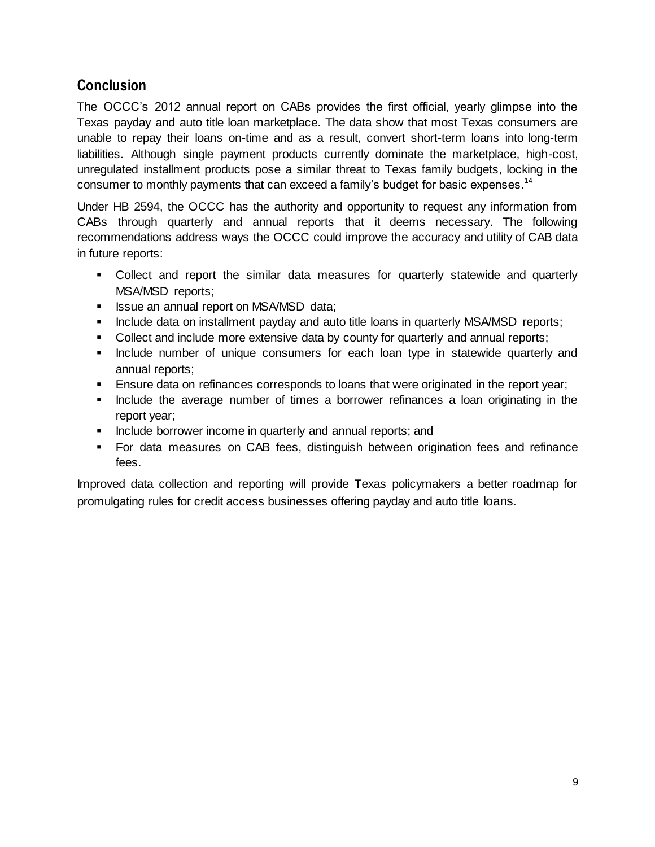# **Conclusion**

The OCCC's 2012 annual report on CABs provides the first official, yearly glimpse into the Texas payday and auto title loan marketplace. The data show that most Texas consumers are unable to repay their loans on-time and as a result, convert short-term loans into long-term liabilities. Although single payment products currently dominate the marketplace, high-cost, unregulated installment products pose a similar threat to Texas family budgets, locking in the consumer to monthly payments that can exceed a family's budget for basic expenses.<sup>14</sup>

Under HB 2594, the OCCC has the authority and opportunity to request any information from CABs through quarterly and annual reports that it deems necessary. The following recommendations address ways the OCCC could improve the accuracy and utility of CAB data in future reports:

- Collect and report the similar data measures for quarterly statewide and quarterly MSA/MSD reports;
- **ISSUE an annual report on MSA/MSD data;**
- **Include data on installment payday and auto title loans in quarterly MSA/MSD reports;**
- Collect and include more extensive data by county for quarterly and annual reports;
- **Include number of unique consumers for each loan type in statewide quarterly and** annual reports;
- Ensure data on refinances corresponds to loans that were originated in the report year;
- Include the average number of times a borrower refinances a loan originating in the report year;
- **Include borrower income in quarterly and annual reports; and**
- For data measures on CAB fees, distinguish between origination fees and refinance fees.

Improved data collection and reporting will provide Texas policymakers a better roadmap for promulgating rules for credit access businesses offering payday and auto title loans.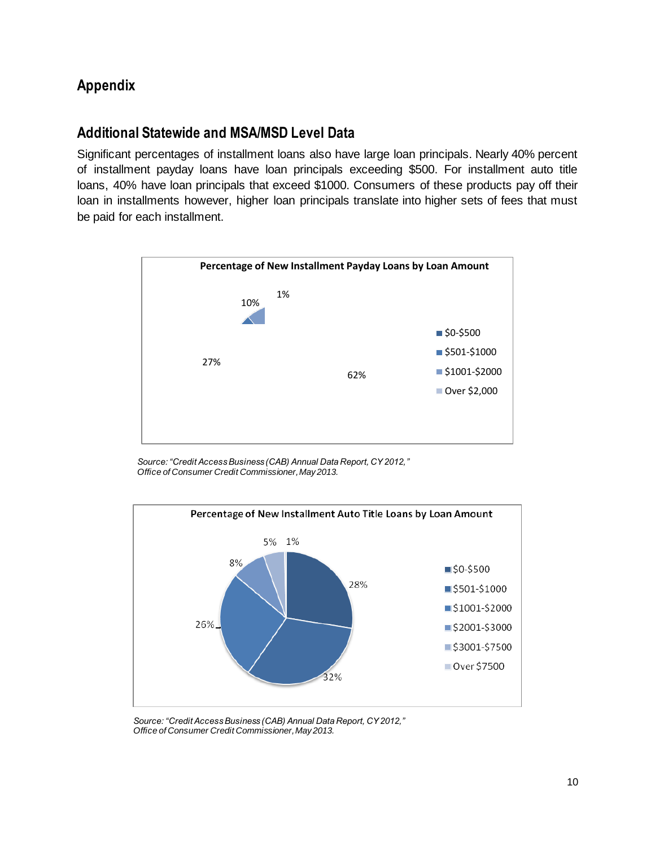# **Appendix**

## **Additional Statewide and MSA/MSD Level Data**

Significant percentages of installment loans also have large loan principals. Nearly 40% percent of installment payday loans have loan principals exceeding \$500. For installment auto title loans, 40% have loan principals that exceed \$1000. Consumers of these products pay off their loan in installments however, higher loan principals translate into higher sets of fees that must be paid for each installment.



*Source: "Credit Access Business (CAB) Annual Data Report, CY 2012," Office of Consumer Credit Commissioner, May 2013.*



*Source: "Credit Access Business (CAB) Annual Data Report, CY 2012," Office of Consumer Credit Commissioner, May 2013.*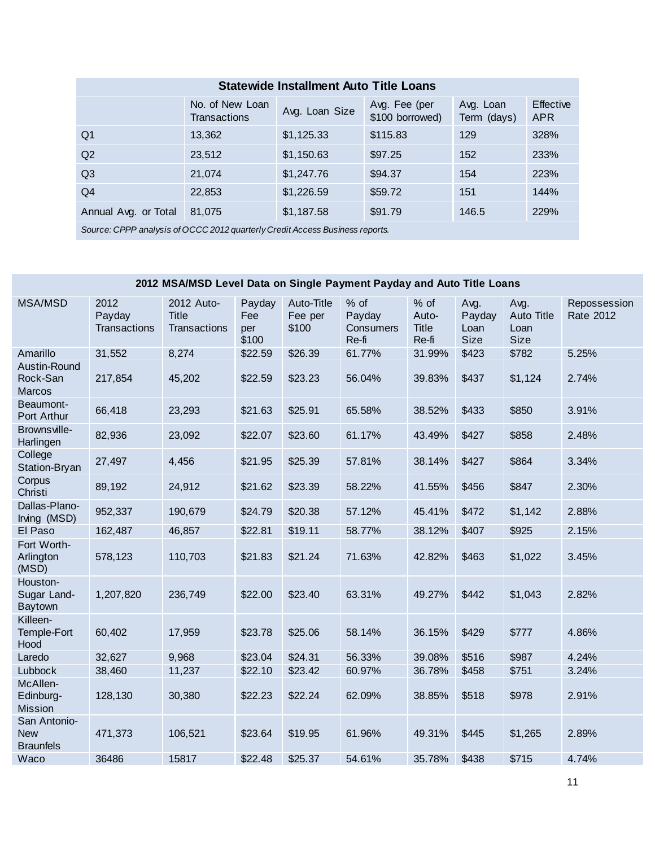| <b>Statewide Installment Auto Title Loans</b>                                |                                        |                |                                  |                          |                         |  |  |  |  |
|------------------------------------------------------------------------------|----------------------------------------|----------------|----------------------------------|--------------------------|-------------------------|--|--|--|--|
|                                                                              | No. of New Loan<br><b>Transactions</b> | Avg. Loan Size | Avg. Fee (per<br>\$100 borrowed) | Avg. Loan<br>Term (days) | Effective<br><b>APR</b> |  |  |  |  |
| Q <sub>1</sub>                                                               | 13,362                                 | \$1,125.33     | \$115.83                         | 129                      | 328%                    |  |  |  |  |
| Q <sub>2</sub>                                                               | 23,512                                 | \$1,150.63     | \$97.25                          | 152                      | 233%                    |  |  |  |  |
| Q <sub>3</sub>                                                               | 21,074                                 | \$1,247.76     | \$94.37                          | 154                      | 223%                    |  |  |  |  |
| Q4                                                                           | 22,853                                 | \$1,226.59     | \$59.72                          | 151                      | 144%                    |  |  |  |  |
| Annual Avg. or Total                                                         | 81,075                                 | \$1,187.58     | \$91.79                          | 146.5                    | 229%                    |  |  |  |  |
| Source: CPPP analysis of OCCC 2012 quarterly Credit Access Business reports. |                                        |                |                                  |                          |                         |  |  |  |  |

# **2012 MSA/MSD Level Data on Single Payment Payday and Auto Title Loans**

| <b>MSA/MSD</b>                                 | 2012<br>Payday<br>Transactions | 2012 Auto-<br><b>Title</b><br>Transactions | Payday<br>Fee<br>per<br>\$100 | Auto-Title<br>Fee per<br>\$100 | % of<br>Payday<br>Consumers<br>Re-fi | % of<br>Auto-<br><b>Title</b><br>Re-fi | Avg.<br>Payday<br>Loan<br><b>Size</b> | Avg.<br><b>Auto Title</b><br>Loan<br><b>Size</b> | Repossession<br>Rate 2012 |
|------------------------------------------------|--------------------------------|--------------------------------------------|-------------------------------|--------------------------------|--------------------------------------|----------------------------------------|---------------------------------------|--------------------------------------------------|---------------------------|
| Amarillo                                       | 31,552                         | 8,274                                      | \$22.59                       | \$26.39                        | 61.77%                               | 31.99%                                 | \$423                                 | \$782                                            | 5.25%                     |
| Austin-Round<br>Rock-San<br><b>Marcos</b>      | 217,854                        | 45,202                                     | \$22.59                       | \$23.23                        | 56.04%                               | 39.83%                                 | \$437                                 | \$1,124                                          | 2.74%                     |
| Beaumont-<br>Port Arthur                       | 66,418                         | 23,293                                     | \$21.63                       | \$25.91                        | 65.58%                               | 38.52%                                 | \$433                                 | \$850                                            | 3.91%                     |
| Brownsville-<br>Harlingen                      | 82,936                         | 23,092                                     | \$22.07                       | \$23.60                        | 61.17%                               | 43.49%                                 | \$427                                 | \$858                                            | 2.48%                     |
| College<br>Station-Bryan                       | 27,497                         | 4,456                                      | \$21.95                       | \$25.39                        | 57.81%                               | 38.14%                                 | \$427                                 | \$864                                            | 3.34%                     |
| Corpus<br>Christi                              | 89,192                         | 24,912                                     | \$21.62                       | \$23.39                        | 58.22%                               | 41.55%                                 | \$456                                 | \$847                                            | 2.30%                     |
| Dallas-Plano-<br>Irving (MSD)                  | 952,337                        | 190,679                                    | \$24.79                       | \$20.38                        | 57.12%                               | 45.41%                                 | \$472                                 | \$1,142                                          | 2.88%                     |
| El Paso                                        | 162,487                        | 46,857                                     | \$22.81                       | \$19.11                        | 58.77%                               | 38.12%                                 | \$407                                 | \$925                                            | 2.15%                     |
| Fort Worth-<br>Arlington<br>(MSD)              | 578,123                        | 110,703                                    | \$21.83                       | \$21.24                        | 71.63%                               | 42.82%                                 | \$463                                 | \$1,022                                          | 3.45%                     |
| Houston-<br>Sugar Land-<br>Baytown             | 1,207,820                      | 236,749                                    | \$22.00                       | \$23.40                        | 63.31%                               | 49.27%                                 | \$442                                 | \$1,043                                          | 2.82%                     |
| Killeen-<br>Temple-Fort<br>Hood                | 60,402                         | 17,959                                     | \$23.78                       | \$25.06                        | 58.14%                               | 36.15%                                 | \$429                                 | \$777                                            | 4.86%                     |
| Laredo                                         | 32,627                         | 9,968                                      | \$23.04                       | \$24.31                        | 56.33%                               | 39.08%                                 | \$516                                 | \$987                                            | 4.24%                     |
| Lubbock                                        | 38,460                         | 11,237                                     | \$22.10                       | \$23.42                        | 60.97%                               | 36.78%                                 | \$458                                 | \$751                                            | 3.24%                     |
| McAllen-<br>Edinburg-<br><b>Mission</b>        | 128,130                        | 30,380                                     | \$22.23                       | \$22.24                        | 62.09%                               | 38.85%                                 | \$518                                 | \$978                                            | 2.91%                     |
| San Antonio-<br><b>New</b><br><b>Braunfels</b> | 471,373                        | 106,521                                    | \$23.64                       | \$19.95                        | 61.96%                               | 49.31%                                 | \$445                                 | \$1,265                                          | 2.89%                     |
| Waco                                           | 36486                          | 15817                                      | \$22.48                       | \$25.37                        | 54.61%                               | 35.78%                                 | \$438                                 | \$715                                            | 4.74%                     |
|                                                |                                |                                            |                               |                                |                                      |                                        |                                       |                                                  |                           |